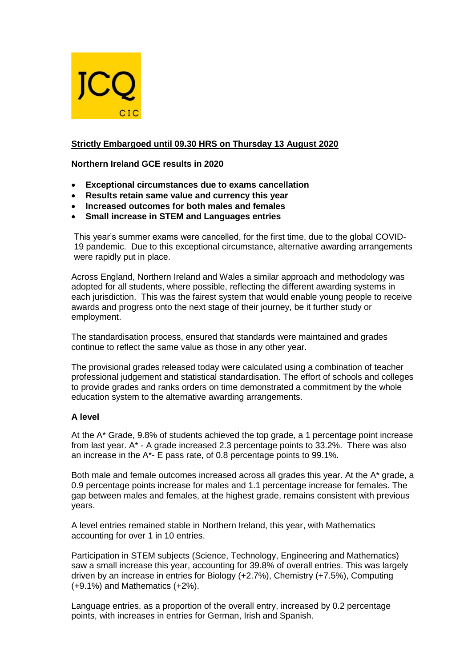

# **Strictly Embargoed until 09.30 HRS on Thursday 13 August 2020**

**Northern Ireland GCE results in 2020**

- **Exceptional circumstances due to exams cancellation**
- **Results retain same value and currency this year**
- **Increased outcomes for both males and females**
- **Small increase in STEM and Languages entries**

This year's summer exams were cancelled, for the first time, due to the global COVID-19 pandemic. Due to this exceptional circumstance, alternative awarding arrangements were rapidly put in place.

Across England, Northern Ireland and Wales a similar approach and methodology was adopted for all students, where possible, reflecting the different awarding systems in each jurisdiction. This was the fairest system that would enable young people to receive awards and progress onto the next stage of their journey, be it further study or employment.

The standardisation process, ensured that standards were maintained and grades continue to reflect the same value as those in any other year.

The provisional grades released today were calculated using a combination of teacher professional judgement and statistical standardisation. The effort of schools and colleges to provide grades and ranks orders on time demonstrated a commitment by the whole education system to the alternative awarding arrangements.

### **A level**

At the A\* Grade, 9.8% of students achieved the top grade, a 1 percentage point increase from last year. A\* - A grade increased 2.3 percentage points to 33.2%. There was also an increase in the A\*- E pass rate, of 0.8 percentage points to 99.1%.

Both male and female outcomes increased across all grades this year. At the A<sup>\*</sup> grade, a 0.9 percentage points increase for males and 1.1 percentage increase for females. The gap between males and females, at the highest grade, remains consistent with previous years.

A level entries remained stable in Northern Ireland, this year, with Mathematics accounting for over 1 in 10 entries.

Participation in STEM subjects (Science, Technology, Engineering and Mathematics) saw a small increase this year, accounting for 39.8% of overall entries. This was largely driven by an increase in entries for Biology (+2.7%), Chemistry (+7.5%), Computing (+9.1%) and Mathematics (+2%).

Language entries, as a proportion of the overall entry, increased by 0.2 percentage points, with increases in entries for German, Irish and Spanish.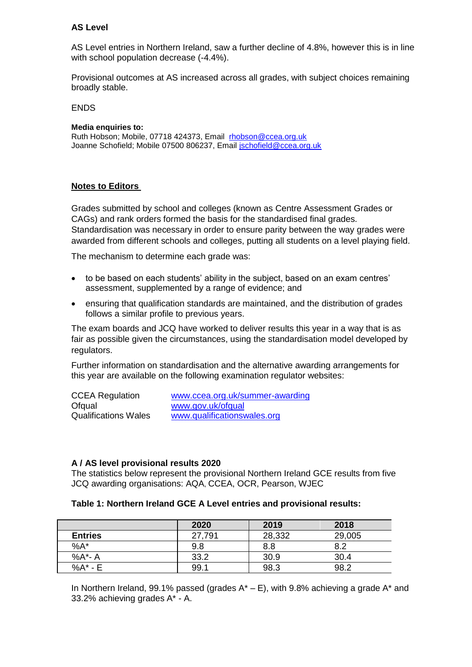### **AS Level**

AS Level entries in Northern Ireland, saw a further decline of 4.8%, however this is in line with school population decrease (-4.4%).

Provisional outcomes at AS increased across all grades, with subject choices remaining broadly stable.

ENDS

#### **Media enquiries to:**

Ruth Hobson; Mobile, 07718 424373, Email [rhobson@ccea.org.uk](mailto:rhobson@ccea.org.uk) Joanne Schofield; Mobile 07500 806237, Email [jschofield@ccea.org.uk](mailto:jschofield@ccea.org.uk)

#### **Notes to Editors**

Grades submitted by school and colleges (known as Centre Assessment Grades or CAGs) and rank orders formed the basis for the standardised final grades. Standardisation was necessary in order to ensure parity between the way grades were awarded from different schools and colleges, putting all students on a level playing field.

The mechanism to determine each grade was:

- to be based on each students' ability in the subject, based on an exam centres' assessment, supplemented by a range of evidence; and
- ensuring that qualification standards are maintained, and the distribution of grades follows a similar profile to previous years.

The exam boards and JCQ have worked to deliver results this year in a way that is as fair as possible given the circumstances, using the standardisation model developed by regulators.

Further information on standardisation and the alternative awarding arrangements for this year are available on the following examination regulator websites:

| <b>CCEA Regulation</b>      | www.ccea.org.uk/summer-awarding |
|-----------------------------|---------------------------------|
| Ofqual                      | www.gov.uk/ofqual               |
| <b>Qualifications Wales</b> | www.qualificationswales.org     |

### **A / AS level provisional results 2020**

The statistics below represent the provisional Northern Ireland GCE results from five JCQ awarding organisations: AQA, CCEA, OCR, Pearson, WJEC

#### **Table 1: Northern Ireland GCE A Level entries and provisional results:**

|                | 2020   | 2019   | 2018   |
|----------------|--------|--------|--------|
| <b>Entries</b> | 27,791 | 28,332 | 29,005 |
| $%A^*$         | 9.8    | 8.8    | 8.2    |
| %A*- A         | 33.2   | 30.9   | 30.4   |
| %A* - E        | 99.1   | 98.3   | 98.2   |

In Northern Ireland, 99.1% passed (grades  $A^* - E$ ), with 9.8% achieving a grade  $A^*$  and 33.2% achieving grades A\* - A.